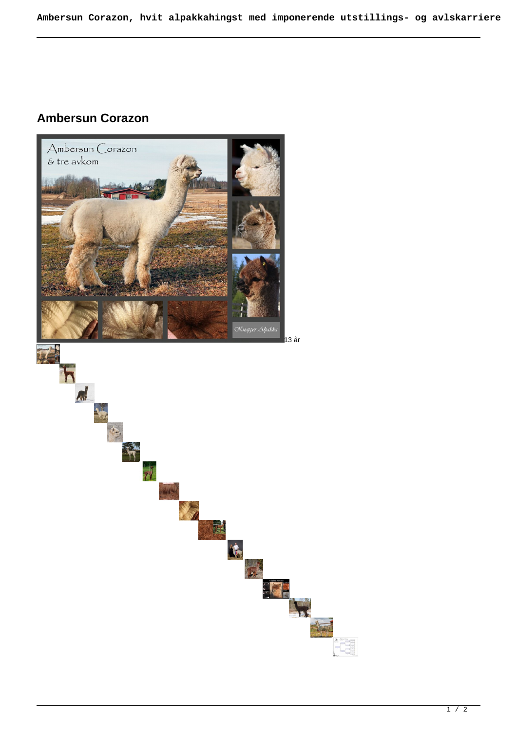## **Ambersun Corazon**